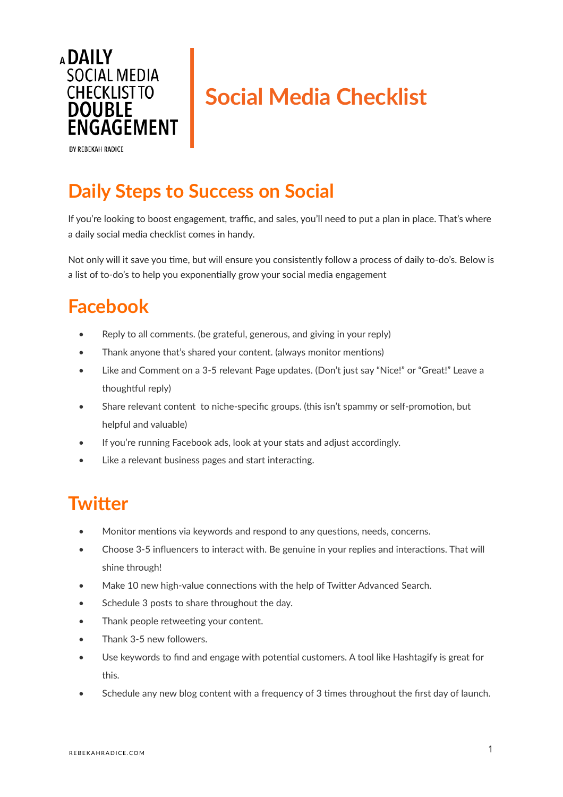

# **Social Media Checklist**

BY REBEKAH RADICE

## **Daily Steps to Success on Social**

If you're looking to boost engagement, traffic, and sales, you'll need to put a plan in place. That's where a daily social media checklist comes in handy.

Not only will it save you time, but will ensure you consistently follow a process of daily to-do's. Below is a list of to-do's to help you exponentially grow your social media engagement

## **Facebook**

- Reply to all comments. (be grateful, generous, and giving in your reply)
- Thank anyone that's shared your content. (always monitor mentions)
- Like and Comment on a 3-5 relevant Page updates. (Don't just say "Nice!" or "Great!" Leave a thoughtful reply)
- Share relevant content to niche-specific groups. (this isn't spammy or self-promotion, but helpful and valuable)
- If you're running Facebook ads, look at your stats and adjust accordingly.
- Like a relevant business pages and start interacting.

## **Twitter**

- Monitor mentions via keywords and respond to any questions, needs, concerns.
- Choose 3-5 influencers to interact with. Be genuine in your replies and interactions. That will shine through!
- Make 10 new high-value connections with the help of Twitter Advanced Search.
- Schedule 3 posts to share throughout the day.
- Thank people retweeting your content.
- Thank 3-5 new followers.
- Use keywords to find and engage with potential customers. A tool like Hashtagify is great for this.
- Schedule any new blog content with a frequency of 3 times throughout the first day of launch.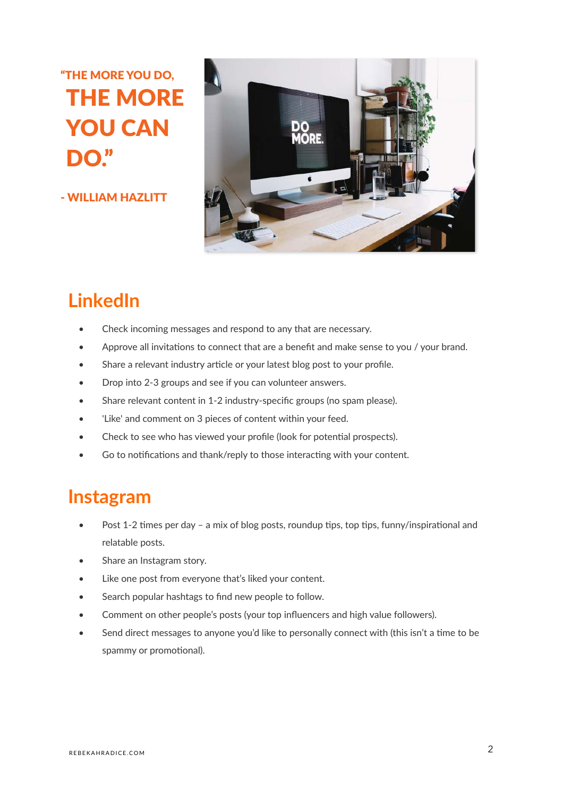## "THE MORE YOU DO, THE MORE YOU CAN DO."

- WILLIAM HAZLITT



## **LinkedIn**

- Check incoming messages and respond to any that are necessary.
- Approve all invitations to connect that are a benefit and make sense to you / your brand.
- Share a relevant industry article or your latest blog post to your profile.
- Drop into 2-3 groups and see if you can volunteer answers.
- Share relevant content in 1-2 industry-specific groups (no spam please).
- 'Like' and comment on 3 pieces of content within your feed.
- Check to see who has viewed your profile (look for potential prospects).
- Go to notifications and thank/reply to those interacting with your content.

#### **Instagram**

- Post 1-2 times per day a mix of blog posts, roundup tips, top tips, funny/inspirational and relatable posts.
- Share an Instagram story.
- Like one post from everyone that's liked your content.
- Search popular hashtags to find new people to follow.
- Comment on other people's posts (your top influencers and high value followers).
- Send direct messages to anyone you'd like to personally connect with (this isn't a time to be spammy or promotional).